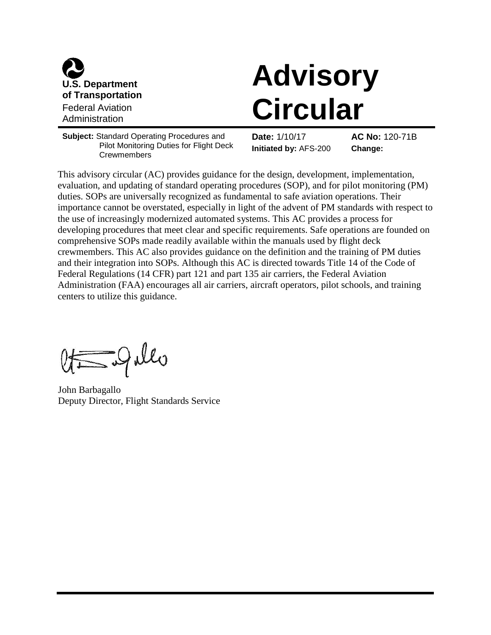

# **Advisory Circular**

**Subject:** Standard Operating Procedures and Pilot Monitoring Duties for Flight Deck **Crewmembers** 

**Date:** 1/10/17 **AC No:** 120-71B **Initiated by:** AFS-200 **Change:**

This advisory circular (AC) provides guidance for the design, development, implementation, evaluation, and updating of standard operating procedures (SOP), and for pilot monitoring (PM) duties. SOPs are universally recognized as fundamental to safe aviation operations. Their importance cannot be overstated, especially in light of the advent of PM standards with respect to the use of increasingly modernized automated systems. This AC provides a process for developing procedures that meet clear and specific requirements. Safe operations are founded on comprehensive SOPs made readily available within the manuals used by flight deck crewmembers. This AC also provides guidance on the definition and the training of PM duties and their integration into SOPs. Although this AC is directed towards Title 14 of the Code of Federal Regulations (14 CFR) part 121 and part 135 air carriers, the Federal Aviation Administration (FAA) encourages all air carriers, aircraft operators, pilot schools, and training centers to utilize this guidance.

Egillo

John Barbagallo Deputy Director, Flight Standards Service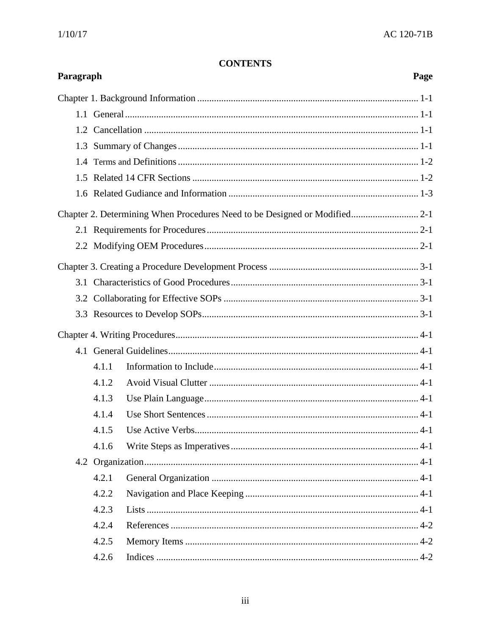# **CONTENTS**

| Paragraph<br>Page                                                          |       |       |  |  |
|----------------------------------------------------------------------------|-------|-------|--|--|
|                                                                            |       |       |  |  |
|                                                                            |       |       |  |  |
|                                                                            |       |       |  |  |
| 1.3                                                                        |       |       |  |  |
|                                                                            |       |       |  |  |
|                                                                            |       |       |  |  |
|                                                                            |       |       |  |  |
| Chapter 2. Determining When Procedures Need to be Designed or Modified 2-1 |       |       |  |  |
|                                                                            |       |       |  |  |
|                                                                            |       |       |  |  |
|                                                                            |       |       |  |  |
|                                                                            |       |       |  |  |
|                                                                            |       |       |  |  |
|                                                                            |       |       |  |  |
|                                                                            |       |       |  |  |
|                                                                            |       |       |  |  |
|                                                                            | 4.1.1 |       |  |  |
|                                                                            | 4.1.2 |       |  |  |
|                                                                            | 4.1.3 |       |  |  |
|                                                                            | 4.1.4 |       |  |  |
|                                                                            | 4.1.5 | $4-1$ |  |  |
|                                                                            | 4.1.6 |       |  |  |
|                                                                            |       |       |  |  |
|                                                                            | 4.2.1 |       |  |  |
|                                                                            | 4.2.2 |       |  |  |
|                                                                            | 4.2.3 |       |  |  |
|                                                                            | 4.2.4 |       |  |  |
|                                                                            | 4.2.5 |       |  |  |
|                                                                            | 4.2.6 |       |  |  |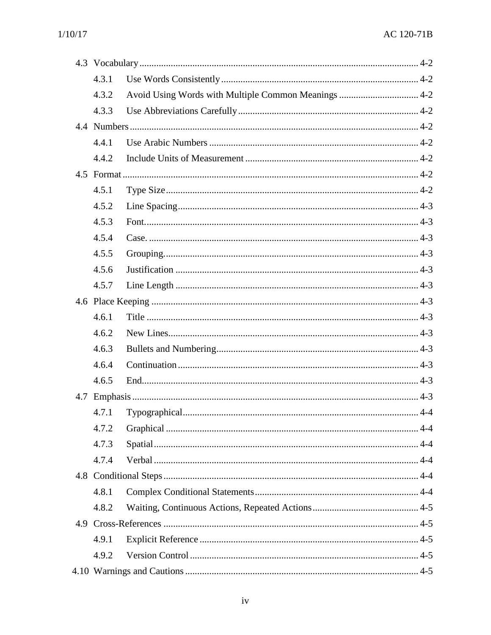| 4.3.1 |                                                      |
|-------|------------------------------------------------------|
| 4.3.2 | Avoid Using Words with Multiple Common Meanings  4-2 |
| 4.3.3 |                                                      |
|       |                                                      |
| 4.4.1 |                                                      |
| 4.4.2 |                                                      |
|       |                                                      |
| 4.5.1 |                                                      |
| 4.5.2 |                                                      |
| 4.5.3 |                                                      |
| 4.5.4 |                                                      |
| 4.5.5 |                                                      |
| 4.5.6 |                                                      |
| 4.5.7 |                                                      |
|       |                                                      |
| 4.6.1 |                                                      |
| 4.6.2 |                                                      |
| 4.6.3 |                                                      |
| 4.6.4 |                                                      |
| 4.6.5 |                                                      |
|       |                                                      |
| 4.7.1 |                                                      |
| 4.7.2 |                                                      |
| 4.7.3 |                                                      |
| 4.7.4 |                                                      |
|       |                                                      |
| 4.8.1 |                                                      |
| 4.8.2 |                                                      |
|       |                                                      |
| 4.9.1 |                                                      |
| 4.9.2 |                                                      |
|       |                                                      |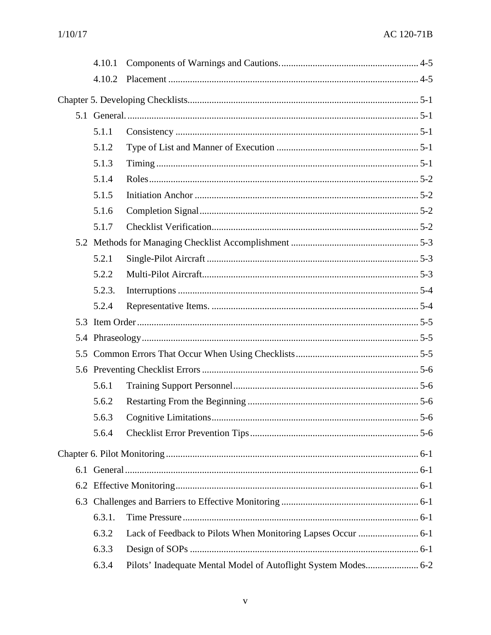| 4.10.2 |                                                                |
|--------|----------------------------------------------------------------|
|        |                                                                |
|        |                                                                |
| 5.1.1  |                                                                |
| 5.1.2  |                                                                |
| 5.1.3  |                                                                |
| 5.1.4  |                                                                |
| 5.1.5  |                                                                |
| 5.1.6  |                                                                |
| 5.1.7  |                                                                |
|        |                                                                |
| 5.2.1  |                                                                |
| 5.2.2  |                                                                |
| 5.2.3. |                                                                |
| 5.2.4  |                                                                |
|        |                                                                |
|        |                                                                |
|        |                                                                |
|        |                                                                |
| 5.6.1  |                                                                |
| 5.6.2  |                                                                |
| 5.6.3  | $\dots$ 5-6                                                    |
| 5.6.4  |                                                                |
|        |                                                                |
|        |                                                                |
|        |                                                                |
|        |                                                                |
| 6.3.1. |                                                                |
| 6.3.2  |                                                                |
| 6.3.3  |                                                                |
| 6.3.4  | Pilots' Inadequate Mental Model of Autoflight System Modes 6-2 |
|        |                                                                |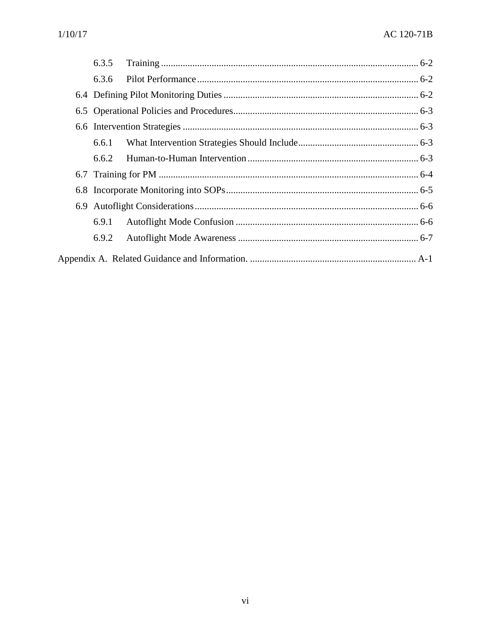|  | 6.3.5 |  |  |
|--|-------|--|--|
|  | 6.3.6 |  |  |
|  |       |  |  |
|  |       |  |  |
|  |       |  |  |
|  | 6.6.1 |  |  |
|  | 6.6.2 |  |  |
|  |       |  |  |
|  |       |  |  |
|  |       |  |  |
|  | 6.9.1 |  |  |
|  | 6.9.2 |  |  |
|  |       |  |  |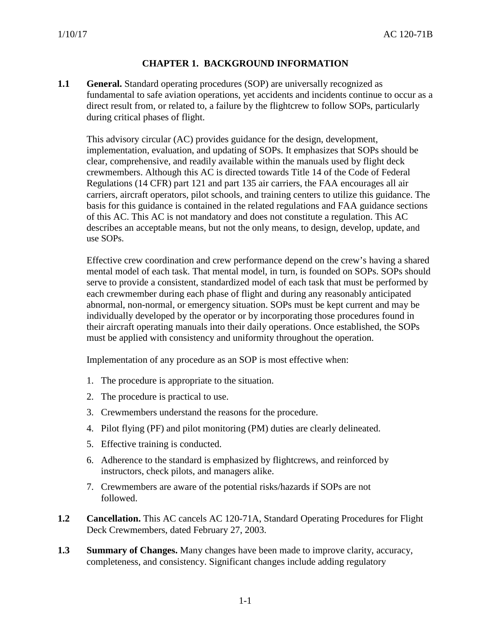# **CHAPTER 1. BACKGROUND INFORMATION**

<span id="page-5-0"></span>**1.1 General.** Standard operating procedures (SOP) are universally recognized as fundamental to safe aviation operations, yet accidents and incidents continue to occur as a direct result from, or related to, a failure by the flightcrew to follow SOPs, particularly during critical phases of flight.

This advisory circular (AC) provides guidance for the design, development, implementation, evaluation, and updating of SOPs. It emphasizes that SOPs should be clear, comprehensive, and readily available within the manuals used by flight deck crewmembers. Although this AC is directed towards Title 14 of the Code of Federal Regulations (14 CFR) part 121 and part 135 air carriers, the FAA encourages all air carriers, aircraft operators, pilot schools, and training centers to utilize this guidance. The basis for this guidance is contained in the related regulations and FAA guidance sections of this AC. This AC is not mandatory and does not constitute a regulation. This AC describes an acceptable means, but not the only means, to design, develop, update, and use SOPs.

Effective crew coordination and crew performance depend on the crew's having a shared mental model of each task. That mental model, in turn, is founded on SOPs. SOPs should serve to provide a consistent, standardized model of each task that must be performed by each crewmember during each phase of flight and during any reasonably anticipated abnormal, non-normal, or emergency situation. SOPs must be kept current and may be individually developed by the operator or by incorporating those procedures found in their aircraft operating manuals into their daily operations. Once established, the SOPs must be applied with consistency and uniformity throughout the operation.

Implementation of any procedure as an SOP is most effective when:

- 1. The procedure is appropriate to the situation.
- 2. The procedure is practical to use.
- 3. Crewmembers understand the reasons for the procedure.
- 4. Pilot flying (PF) and pilot monitoring (PM) duties are clearly delineated.
- 5. Effective training is conducted.
- 6. Adherence to the standard is emphasized by flightcrews, and reinforced by instructors, check pilots, and managers alike.
- 7. Crewmembers are aware of the potential risks/hazards if SOPs are not followed.
- <span id="page-5-1"></span>**1.2 Cancellation.** This AC cancels AC 120-71A, Standard Operating Procedures for Flight Deck Crewmembers, dated February 27, 2003.
- <span id="page-5-2"></span>**1.3 Summary of Changes.** Many changes have been made to improve clarity, accuracy, completeness, and consistency. Significant changes include adding regulatory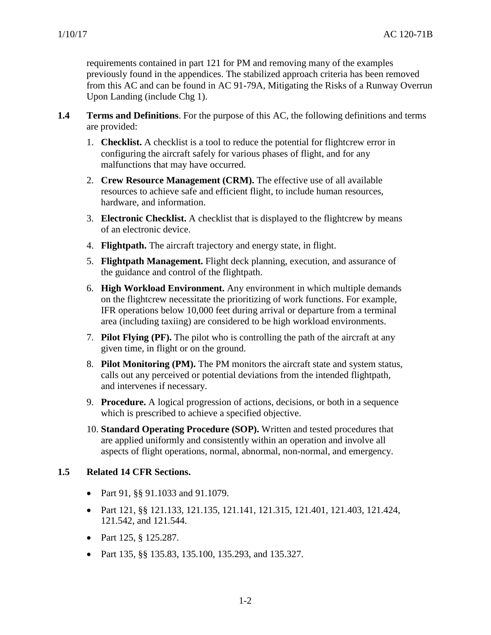requirements contained in part 121 for PM and removing many of the examples previously found in the appendices. The stabilized approach criteria has been removed from this AC and can be found in AC 91-79A, Mitigating the Risks of a Runway Overrun Upon Landing (include Chg 1).

- <span id="page-6-0"></span>**1.4 Terms and Definitions**. For the purpose of this AC, the following definitions and terms are provided:
	- 1. **Checklist.** A checklist is a tool to reduce the potential for flightcrew error in configuring the aircraft safely for various phases of flight, and for any malfunctions that may have occurred.
	- 2. **Crew Resource Management (CRM).** The effective use of all available resources to achieve safe and efficient flight, to include human resources, hardware, and information.
	- 3. **Electronic Checklist.** A checklist that is displayed to the flightcrew by means of an electronic device.
	- 4. **Flightpath.** The aircraft trajectory and energy state, in flight.
	- 5. **Flightpath Management.** Flight deck planning, execution, and assurance of the guidance and control of the flightpath.
	- 6. **High Workload Environment.** Any environment in which multiple demands on the flightcrew necessitate the prioritizing of work functions. For example, IFR operations below 10,000 feet during arrival or departure from a terminal area (including taxiing) are considered to be high workload environments.
	- 7. **Pilot Flying (PF).** The pilot who is controlling the path of the aircraft at any given time, in flight or on the ground.
	- 8. **Pilot Monitoring (PM).** The PM monitors the aircraft state and system status, calls out any perceived or potential deviations from the intended flightpath, and intervenes if necessary.
	- 9. **Procedure.** A logical progression of actions, decisions, or both in a sequence which is prescribed to achieve a specified objective.
	- 10. **Standard Operating Procedure (SOP).** Written and tested procedures that are applied uniformly and consistently within an operation and involve all aspects of flight operations, normal, abnormal, non-normal, and emergency.

# <span id="page-6-1"></span>**1.5 Related 14 CFR Sections.**

- Part 91, §§ 91.1033 and 91.1079.
- Part 121, §§ 121.133, 121.135, 121.141, 121.315, 121.401, 121.403, 121.424, 121.542, and 121.544.
- Part 125, § 125.287.
- Part 135, §§ 135.83, 135.100, 135.293, and 135.327.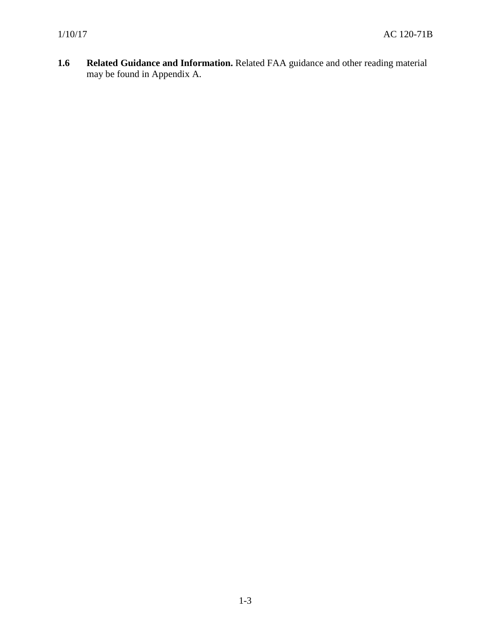<span id="page-7-0"></span>**1.6 Related Guidance and Information.** Related FAA guidance and other reading material may be found in Appendix A.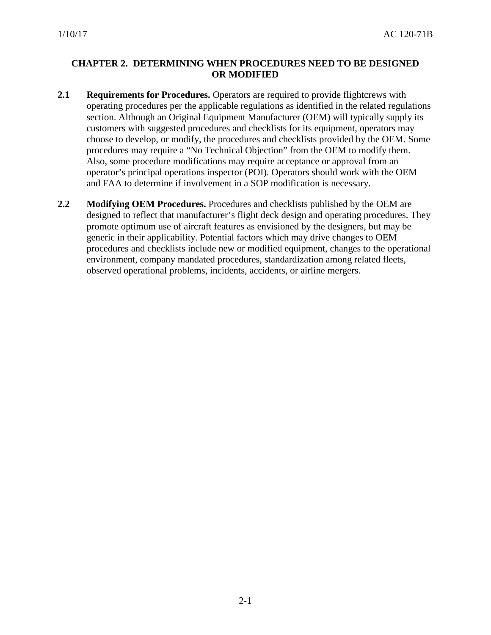# **CHAPTER 2. DETERMINING WHEN PROCEDURES NEED TO BE DESIGNED OR MODIFIED**

- <span id="page-8-0"></span>**2.1 Requirements for Procedures.** Operators are required to provide flightcrews with operating procedures per the applicable regulations as identified in the related regulations section. Although an Original Equipment Manufacturer (OEM) will typically supply its customers with suggested procedures and checklists for its equipment, operators may choose to develop, or modify, the procedures and checklists provided by the OEM. Some procedures may require a "No Technical Objection" from the OEM to modify them. Also, some procedure modifications may require acceptance or approval from an operator's principal operations inspector (POI). Operators should work with the OEM and FAA to determine if involvement in a SOP modification is necessary.
- <span id="page-8-1"></span>**2.2 Modifying OEM Procedures.** Procedures and checklists published by the OEM are designed to reflect that manufacturer's flight deck design and operating procedures. They promote optimum use of aircraft features as envisioned by the designers, but may be generic in their applicability. Potential factors which may drive changes to OEM procedures and checklists include new or modified equipment, changes to the operational environment, company mandated procedures, standardization among related fleets, observed operational problems, incidents, accidents, or airline mergers.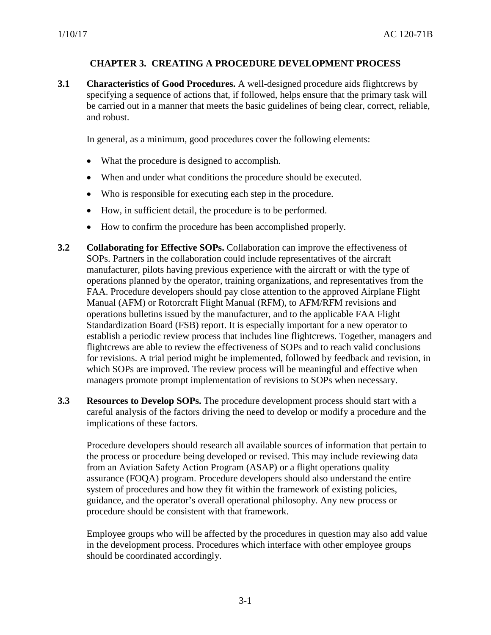# **CHAPTER 3. CREATING A PROCEDURE DEVELOPMENT PROCESS**

<span id="page-9-1"></span><span id="page-9-0"></span>**3.1 Characteristics of Good Procedures.** A well-designed procedure aids flightcrews by specifying a sequence of actions that, if followed, helps ensure that the primary task will be carried out in a manner that meets the basic guidelines of being clear, correct, reliable, and robust.

In general, as a minimum, good procedures cover the following elements:

- What the procedure is designed to accomplish.
- When and under what conditions the procedure should be executed.
- Who is responsible for executing each step in the procedure.
- How, in sufficient detail, the procedure is to be performed.
- How to confirm the procedure has been accomplished properly.
- <span id="page-9-2"></span>**3.2 Collaborating for Effective SOPs.** Collaboration can improve the effectiveness of SOPs. Partners in the collaboration could include representatives of the aircraft manufacturer, pilots having previous experience with the aircraft or with the type of operations planned by the operator, training organizations, and representatives from the FAA. Procedure developers should pay close attention to the approved Airplane Flight Manual (AFM) or Rotorcraft Flight Manual (RFM), to AFM/RFM revisions and operations bulletins issued by the manufacturer, and to the applicable FAA Flight Standardization Board (FSB) report. It is especially important for a new operator to establish a periodic review process that includes line flightcrews. Together, managers and flightcrews are able to review the effectiveness of SOPs and to reach valid conclusions for revisions. A trial period might be implemented, followed by feedback and revision, in which SOPs are improved. The review process will be meaningful and effective when managers promote prompt implementation of revisions to SOPs when necessary.
- <span id="page-9-3"></span>**3.3 Resources to Develop SOPs.** The procedure development process should start with a careful analysis of the factors driving the need to develop or modify a procedure and the implications of these factors.

Procedure developers should research all available sources of information that pertain to the process or procedure being developed or revised. This may include reviewing data from an Aviation Safety Action Program (ASAP) or a flight operations quality assurance (FOQA) program. Procedure developers should also understand the entire system of procedures and how they fit within the framework of existing policies, guidance, and the operator's overall operational philosophy. Any new process or procedure should be consistent with that framework.

Employee groups who will be affected by the procedures in question may also add value in the development process. Procedures which interface with other employee groups should be coordinated accordingly.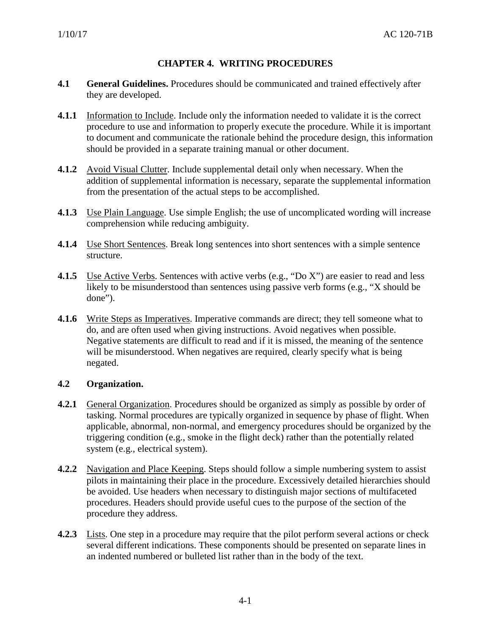# **CHAPTER 4. WRITING PROCEDURES**

- <span id="page-10-1"></span><span id="page-10-0"></span>**4.1 General Guidelines.** Procedures should be communicated and trained effectively after they are developed.
- <span id="page-10-2"></span>**4.1.1** Information to Include. Include only the information needed to validate it is the correct procedure to use and information to properly execute the procedure. While it is important to document and communicate the rationale behind the procedure design, this information should be provided in a separate training manual or other document.
- <span id="page-10-3"></span>**4.1.2** Avoid Visual Clutter. Include supplemental detail only when necessary. When the addition of supplemental information is necessary, separate the supplemental information from the presentation of the actual steps to be accomplished.
- <span id="page-10-4"></span>**4.1.3** Use Plain Language. Use simple English; the use of uncomplicated wording will increase comprehension while reducing ambiguity.
- <span id="page-10-5"></span>**4.1.4** Use Short Sentences. Break long sentences into short sentences with a simple sentence structure.
- <span id="page-10-6"></span>**4.1.5** Use Active Verbs. Sentences with active verbs (e.g., "Do X") are easier to read and less likely to be misunderstood than sentences using passive verb forms (e.g., "X should be done").
- **4.1.6** Write Steps as Imperatives. Imperative commands are direct; they tell someone what to do, and are often used when giving instructions. Avoid negatives when possible. Negative statements are difficult to read and if it is missed, the meaning of the sentence will be misunderstood. When negatives are required, clearly specify what is being negated.

#### <span id="page-10-7"></span>**4.2 Organization.**

- <span id="page-10-8"></span>**4.2.1** General Organization. Procedures should be organized as simply as possible by order of tasking. Normal procedures are typically organized in sequence by phase of flight. When applicable, abnormal, non-normal, and emergency procedures should be organized by the triggering condition (e.g., smoke in the flight deck) rather than the potentially related system (e.g., electrical system).
- <span id="page-10-9"></span>**4.2.2** Navigation and Place Keeping. Steps should follow a simple numbering system to assist pilots in maintaining their place in the procedure. Excessively detailed hierarchies should be avoided. Use headers when necessary to distinguish major sections of multifaceted procedures. Headers should provide useful cues to the purpose of the section of the procedure they address.
- <span id="page-10-10"></span>**4.2.3** Lists. One step in a procedure may require that the pilot perform several actions or check several different indications. These components should be presented on separate lines in an indented numbered or bulleted list rather than in the body of the text.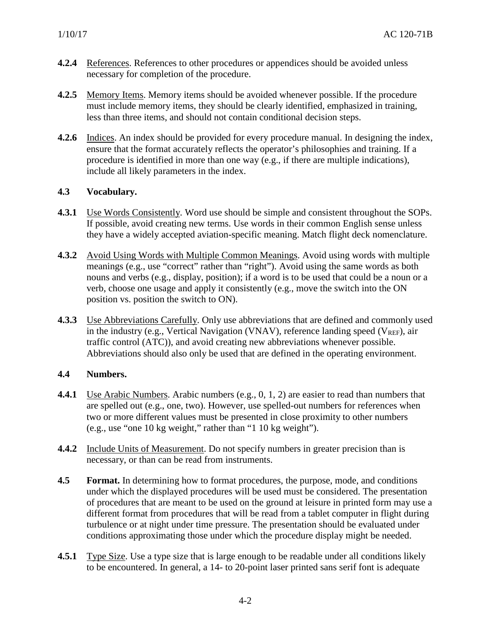- <span id="page-11-0"></span>**4.2.4** References. References to other procedures or appendices should be avoided unless necessary for completion of the procedure.
- <span id="page-11-1"></span>**4.2.5** Memory Items. Memory items should be avoided whenever possible. If the procedure must include memory items, they should be clearly identified, emphasized in training, less than three items, and should not contain conditional decision steps.
- <span id="page-11-2"></span>**4.2.6** Indices. An index should be provided for every procedure manual. In designing the index, ensure that the format accurately reflects the operator's philosophies and training. If a procedure is identified in more than one way (e.g., if there are multiple indications), include all likely parameters in the index.

# <span id="page-11-3"></span>**4.3 Vocabulary.**

- <span id="page-11-4"></span>**4.3.1** Use Words Consistently. Word use should be simple and consistent throughout the SOPs. If possible, avoid creating new terms. Use words in their common English sense unless they have a widely accepted aviation-specific meaning. Match flight deck nomenclature.
- <span id="page-11-5"></span>**4.3.2** Avoid Using Words with Multiple Common Meanings. Avoid using words with multiple meanings (e.g., use "correct" rather than "right"). Avoid using the same words as both nouns and verbs (e.g., display, position); if a word is to be used that could be a noun or a verb, choose one usage and apply it consistently (e.g., move the switch into the ON position vs. position the switch to ON).
- <span id="page-11-6"></span>**4.3.3** Use Abbreviations Carefully. Only use abbreviations that are defined and commonly used in the industry (e.g., Vertical Navigation (VNAV), reference landing speed ( $V_{REF}$ ), air traffic control (ATC)), and avoid creating new abbreviations whenever possible. Abbreviations should also only be used that are defined in the operating environment.

# <span id="page-11-7"></span>**4.4 Numbers.**

- <span id="page-11-8"></span>**4.4.1** Use Arabic Numbers. Arabic numbers (e.g., 0, 1, 2) are easier to read than numbers that are spelled out (e.g., one, two). However, use spelled-out numbers for references when two or more different values must be presented in close proximity to other numbers (e.g., use "one 10 kg weight," rather than "1 10 kg weight").
- <span id="page-11-9"></span>**4.4.2** Include Units of Measurement. Do not specify numbers in greater precision than is necessary, or than can be read from instruments.
- <span id="page-11-10"></span>**4.5 Format.** In determining how to format procedures, the purpose, mode, and conditions under which the displayed procedures will be used must be considered. The presentation of procedures that are meant to be used on the ground at leisure in printed form may use a different format from procedures that will be read from a tablet computer in flight during turbulence or at night under time pressure. The presentation should be evaluated under conditions approximating those under which the procedure display might be needed.
- <span id="page-11-11"></span>**4.5.1** Type Size. Use a type size that is large enough to be readable under all conditions likely to be encountered. In general, a 14- to 20-point laser printed sans serif font is adequate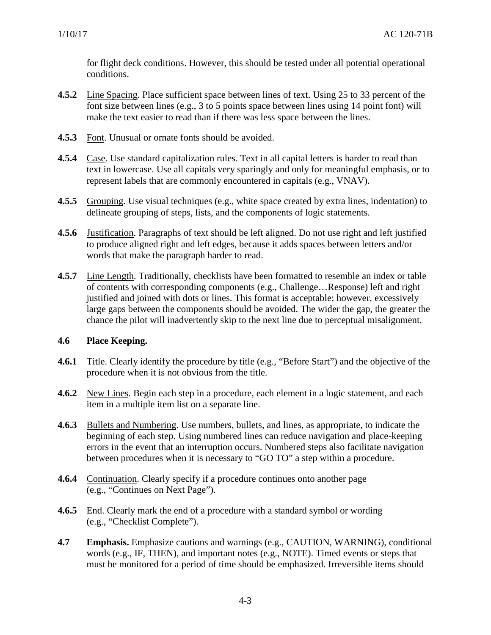for flight deck conditions. However, this should be tested under all potential operational conditions.

- <span id="page-12-0"></span>**4.5.2** Line Spacing. Place sufficient space between lines of text. Using 25 to 33 percent of the font size between lines (e.g., 3 to 5 points space between lines using 14 point font) will make the text easier to read than if there was less space between the lines.
- <span id="page-12-1"></span>**4.5.3** Font. Unusual or ornate fonts should be avoided.
- <span id="page-12-2"></span>**4.5.4** Case. Use standard capitalization rules. Text in all capital letters is harder to read than text in lowercase. Use all capitals very sparingly and only for meaningful emphasis, or to represent labels that are commonly encountered in capitals (e.g., VNAV).
- <span id="page-12-3"></span>**4.5.5** Grouping. Use visual techniques (e.g., white space created by extra lines, indentation) to delineate grouping of steps, lists, and the components of logic statements.
- <span id="page-12-4"></span>**4.5.6** Justification. Paragraphs of text should be left aligned. Do not use right and left justified to produce aligned right and left edges, because it adds spaces between letters and/or words that make the paragraph harder to read.
- <span id="page-12-5"></span>**4.5.7** Line Length. Traditionally, checklists have been formatted to resemble an index or table of contents with corresponding components (e.g., Challenge…Response) left and right justified and joined with dots or lines. This format is acceptable; however, excessively large gaps between the components should be avoided. The wider the gap, the greater the chance the pilot will inadvertently skip to the next line due to perceptual misalignment.

#### <span id="page-12-6"></span>**4.6 Place Keeping.**

- <span id="page-12-7"></span>**4.6.1** Title. Clearly identify the procedure by title (e.g., "Before Start") and the objective of the procedure when it is not obvious from the title.
- <span id="page-12-8"></span>**4.6.2** New Lines. Begin each step in a procedure, each element in a logic statement, and each item in a multiple item list on a separate line.
- <span id="page-12-9"></span>**4.6.3** Bullets and Numbering. Use numbers, bullets, and lines, as appropriate, to indicate the beginning of each step. Using numbered lines can reduce navigation and place-keeping errors in the event that an interruption occurs. Numbered steps also facilitate navigation between procedures when it is necessary to "GO TO" a step within a procedure.
- <span id="page-12-10"></span>**4.6.4** Continuation. Clearly specify if a procedure continues onto another page (e.g., "Continues on Next Page").
- <span id="page-12-11"></span>**4.6.5** End. Clearly mark the end of a procedure with a standard symbol or wording (e.g., "Checklist Complete").
- <span id="page-12-12"></span>**4.7 Emphasis.** Emphasize cautions and warnings (e.g., CAUTION, WARNING), conditional words (e.g., IF, THEN), and important notes (e.g., NOTE). Timed events or steps that must be monitored for a period of time should be emphasized. Irreversible items should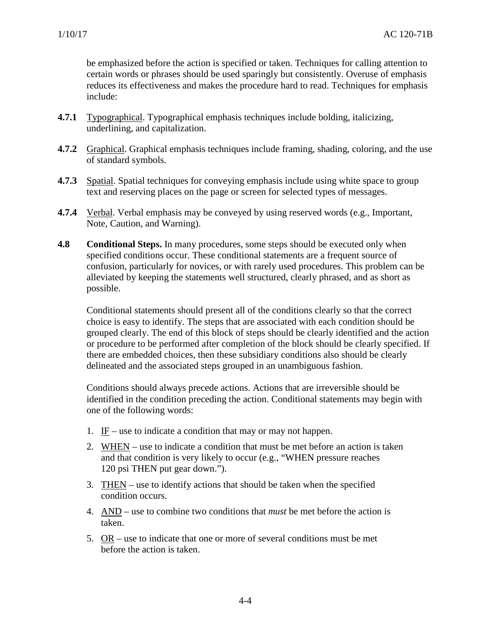be emphasized before the action is specified or taken. Techniques for calling attention to certain words or phrases should be used sparingly but consistently. Overuse of emphasis reduces its effectiveness and makes the procedure hard to read. Techniques for emphasis include:

- <span id="page-13-0"></span>**4.7.1** Typographical. Typographical emphasis techniques include bolding, italicizing, underlining, and capitalization.
- <span id="page-13-1"></span>**4.7.2** Graphical. Graphical emphasis techniques include framing, shading, coloring, and the use of standard symbols.
- <span id="page-13-2"></span>**4.7.3** Spatial. Spatial techniques for conveying emphasis include using white space to group text and reserving places on the page or screen for selected types of messages.
- <span id="page-13-3"></span>**4.7.4** Verbal. Verbal emphasis may be conveyed by using reserved words (e.g., Important, Note, Caution, and Warning).
- <span id="page-13-4"></span>**4.8 Conditional Steps.** In many procedures, some steps should be executed only when specified conditions occur. These conditional statements are a frequent source of confusion, particularly for novices, or with rarely used procedures. This problem can be alleviated by keeping the statements well structured, clearly phrased, and as short as possible.

Conditional statements should present all of the conditions clearly so that the correct choice is easy to identify. The steps that are associated with each condition should be grouped clearly. The end of this block of steps should be clearly identified and the action or procedure to be performed after completion of the block should be clearly specified. If there are embedded choices, then these subsidiary conditions also should be clearly delineated and the associated steps grouped in an unambiguous fashion.

Conditions should always precede actions. Actions that are irreversible should be identified in the condition preceding the action. Conditional statements may begin with one of the following words:

- 1. IF use to indicate a condition that may or may not happen.
- 2. WHEN use to indicate a condition that must be met before an action is taken and that condition is very likely to occur (e.g., "WHEN pressure reaches 120 psi THEN put gear down.").
- 3. THEN use to identify actions that should be taken when the specified condition occurs.
- 4. AND use to combine two conditions that *must* be met before the action is taken.
- 5. OR use to indicate that one or more of several conditions must be met before the action is taken.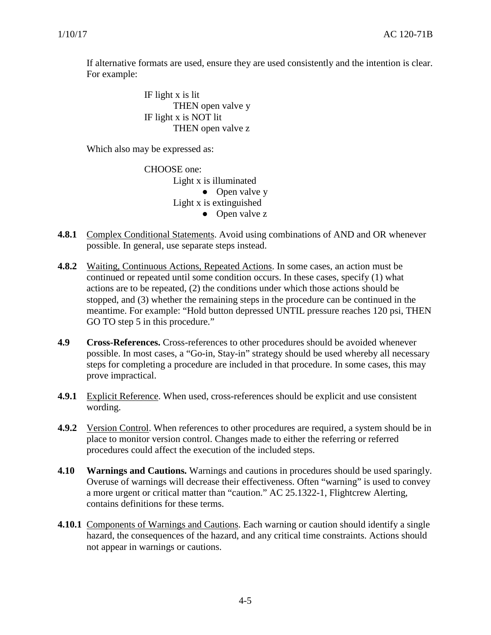If alternative formats are used, ensure they are used consistently and the intention is clear. For example:

> IF light x is lit THEN open valve y IF light x is NOT lit THEN open valve z

Which also may be expressed as:

CHOOSE one:

Light x is illuminated • Open valve y Light x is extinguished ● Open valve z

- <span id="page-14-0"></span>**4.8.1** Complex Conditional Statements. Avoid using combinations of AND and OR whenever possible. In general, use separate steps instead.
- <span id="page-14-1"></span>**4.8.2** Waiting, Continuous Actions, Repeated Actions. In some cases, an action must be continued or repeated until some condition occurs. In these cases, specify (1) what actions are to be repeated, (2) the conditions under which those actions should be stopped, and (3) whether the remaining steps in the procedure can be continued in the meantime. For example: "Hold button depressed UNTIL pressure reaches 120 psi, THEN GO TO step 5 in this procedure."
- <span id="page-14-2"></span>**4.9 Cross-References.** Cross-references to other procedures should be avoided whenever possible. In most cases, a "Go-in, Stay-in" strategy should be used whereby all necessary steps for completing a procedure are included in that procedure. In some cases, this may prove impractical.
- **4.9.1** Explicit Reference. When used, cross-references should be explicit and use consistent wording.
- <span id="page-14-3"></span>**4.9.2** Version Control. When references to other procedures are required, a system should be in place to monitor version control. Changes made to either the referring or referred procedures could affect the execution of the included steps.
- <span id="page-14-4"></span>**4.10 Warnings and Cautions.** Warnings and cautions in procedures should be used sparingly. Overuse of warnings will decrease their effectiveness. Often "warning" is used to convey a more urgent or critical matter than "caution." AC 25.1322-1, Flightcrew Alerting, contains definitions for these terms.
- <span id="page-14-5"></span>**4.10.1** Components of Warnings and Cautions. Each warning or caution should identify a single hazard, the consequences of the hazard, and any critical time constraints. Actions should not appear in warnings or cautions.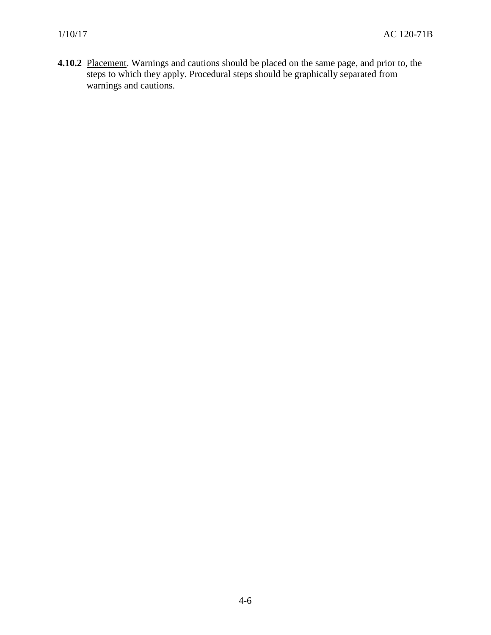<span id="page-15-0"></span>**4.10.2** Placement. Warnings and cautions should be placed on the same page, and prior to, the steps to which they apply. Procedural steps should be graphically separated from warnings and cautions.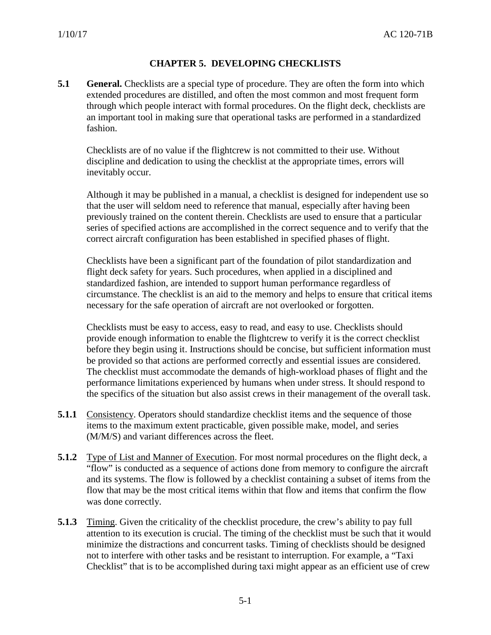# **CHAPTER 5. DEVELOPING CHECKLISTS**

<span id="page-16-0"></span>**5.1 General.** Checklists are a special type of procedure. They are often the form into which extended procedures are distilled, and often the most common and most frequent form through which people interact with formal procedures. On the flight deck, checklists are an important tool in making sure that operational tasks are performed in a standardized fashion.

Checklists are of no value if the flightcrew is not committed to their use. Without discipline and dedication to using the checklist at the appropriate times, errors will inevitably occur.

Although it may be published in a manual, a checklist is designed for independent use so that the user will seldom need to reference that manual, especially after having been previously trained on the content therein. Checklists are used to ensure that a particular series of specified actions are accomplished in the correct sequence and to verify that the correct aircraft configuration has been established in specified phases of flight.

Checklists have been a significant part of the foundation of pilot standardization and flight deck safety for years. Such procedures, when applied in a disciplined and standardized fashion, are intended to support human performance regardless of circumstance. The checklist is an aid to the memory and helps to ensure that critical items necessary for the safe operation of aircraft are not overlooked or forgotten.

Checklists must be easy to access, easy to read, and easy to use. Checklists should provide enough information to enable the flightcrew to verify it is the correct checklist before they begin using it. Instructions should be concise, but sufficient information must be provided so that actions are performed correctly and essential issues are considered. The checklist must accommodate the demands of high-workload phases of flight and the performance limitations experienced by humans when under stress. It should respond to the specifics of the situation but also assist crews in their management of the overall task.

- <span id="page-16-1"></span>**5.1.1** Consistency. Operators should standardize checklist items and the sequence of those items to the maximum extent practicable, given possible make, model, and series (M/M/S) and variant differences across the fleet.
- <span id="page-16-2"></span>**5.1.2** Type of List and Manner of Execution. For most normal procedures on the flight deck, a "flow" is conducted as a sequence of actions done from memory to configure the aircraft and its systems. The flow is followed by a checklist containing a subset of items from the flow that may be the most critical items within that flow and items that confirm the flow was done correctly.
- <span id="page-16-3"></span>**5.1.3** Timing. Given the criticality of the checklist procedure, the crew's ability to pay full attention to its execution is crucial. The timing of the checklist must be such that it would minimize the distractions and concurrent tasks. Timing of checklists should be designed not to interfere with other tasks and be resistant to interruption. For example, a "Taxi Checklist" that is to be accomplished during taxi might appear as an efficient use of crew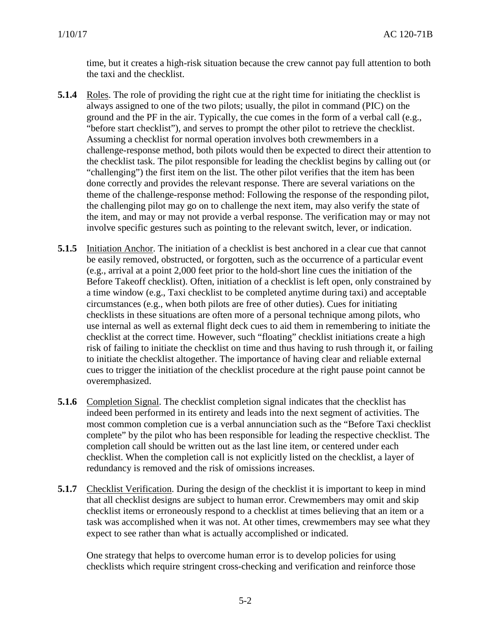time, but it creates a high-risk situation because the crew cannot pay full attention to both the taxi and the checklist.

- <span id="page-17-0"></span>**5.1.4** Roles. The role of providing the right cue at the right time for initiating the checklist is always assigned to one of the two pilots; usually, the pilot in command (PIC) on the ground and the PF in the air. Typically, the cue comes in the form of a verbal call (e.g., "before start checklist"), and serves to prompt the other pilot to retrieve the checklist. Assuming a checklist for normal operation involves both crewmembers in a challenge-response method, both pilots would then be expected to direct their attention to the checklist task. The pilot responsible for leading the checklist begins by calling out (or "challenging") the first item on the list. The other pilot verifies that the item has been done correctly and provides the relevant response. There are several variations on the theme of the challenge-response method: Following the response of the responding pilot, the challenging pilot may go on to challenge the next item, may also verify the state of the item, and may or may not provide a verbal response. The verification may or may not involve specific gestures such as pointing to the relevant switch, lever, or indication.
- <span id="page-17-1"></span>**5.1.5** Initiation Anchor. The initiation of a checklist is best anchored in a clear cue that cannot be easily removed, obstructed, or forgotten, such as the occurrence of a particular event (e.g., arrival at a point 2,000 feet prior to the hold-short line cues the initiation of the Before Takeoff checklist). Often, initiation of a checklist is left open, only constrained by a time window (e.g., Taxi checklist to be completed anytime during taxi) and acceptable circumstances (e.g., when both pilots are free of other duties). Cues for initiating checklists in these situations are often more of a personal technique among pilots, who use internal as well as external flight deck cues to aid them in remembering to initiate the checklist at the correct time. However, such "floating" checklist initiations create a high risk of failing to initiate the checklist on time and thus having to rush through it, or failing to initiate the checklist altogether. The importance of having clear and reliable external cues to trigger the initiation of the checklist procedure at the right pause point cannot be overemphasized.
- <span id="page-17-2"></span>**5.1.6** Completion Signal. The checklist completion signal indicates that the checklist has indeed been performed in its entirety and leads into the next segment of activities. The most common completion cue is a verbal annunciation such as the "Before Taxi checklist complete" by the pilot who has been responsible for leading the respective checklist. The completion call should be written out as the last line item, or centered under each checklist. When the completion call is not explicitly listed on the checklist, a layer of redundancy is removed and the risk of omissions increases.
- <span id="page-17-3"></span>**5.1.7** Checklist Verification. During the design of the checklist it is important to keep in mind that all checklist designs are subject to human error. Crewmembers may omit and skip checklist items or erroneously respond to a checklist at times believing that an item or a task was accomplished when it was not. At other times, crewmembers may see what they expect to see rather than what is actually accomplished or indicated.

One strategy that helps to overcome human error is to develop policies for using checklists which require stringent cross-checking and verification and reinforce those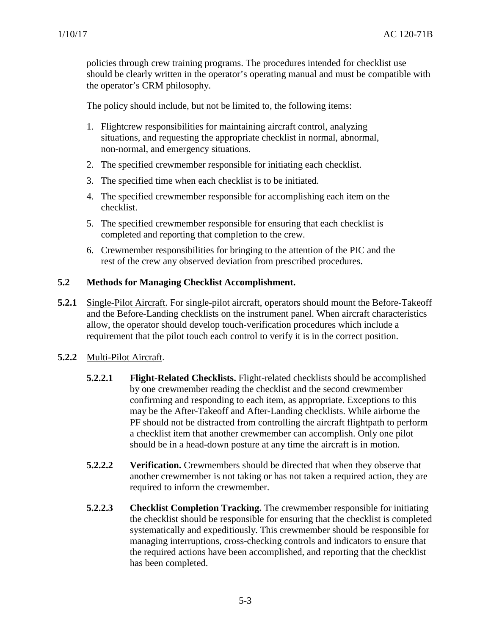policies through crew training programs. The procedures intended for checklist use should be clearly written in the operator's operating manual and must be compatible with the operator's CRM philosophy.

The policy should include, but not be limited to, the following items:

- 1. Flightcrew responsibilities for maintaining aircraft control, analyzing situations, and requesting the appropriate checklist in normal, abnormal, non-normal, and emergency situations.
- 2. The specified crewmember responsible for initiating each checklist.
- 3. The specified time when each checklist is to be initiated.
- 4. The specified crewmember responsible for accomplishing each item on the checklist.
- 5. The specified crewmember responsible for ensuring that each checklist is completed and reporting that completion to the crew.
- <span id="page-18-1"></span>6. Crewmember responsibilities for bringing to the attention of the PIC and the rest of the crew any observed deviation from prescribed procedures.

#### <span id="page-18-0"></span>**5.2 Methods for Managing Checklist Accomplishment.**

**5.2.1** Single-Pilot Aircraft. For single-pilot aircraft, operators should mount the Before-Takeoff and the Before-Landing checklists on the instrument panel. When aircraft characteristics allow, the operator should develop touch-verification procedures which include a requirement that the pilot touch each control to verify it is in the correct position.

# **5.2.2** Multi-Pilot Aircraft.

- <span id="page-18-2"></span>**5.2.2.1 Flight-Related Checklists.** Flight-related checklists should be accomplished by one crewmember reading the checklist and the second crewmember confirming and responding to each item, as appropriate. Exceptions to this may be the After-Takeoff and After-Landing checklists. While airborne the PF should not be distracted from controlling the aircraft flightpath to perform a checklist item that another crewmember can accomplish. Only one pilot should be in a head-down posture at any time the aircraft is in motion.
- **5.2.2.2 Verification.** Crewmembers should be directed that when they observe that another crewmember is not taking or has not taken a required action, they are required to inform the crewmember.
- **5.2.2.3 Checklist Completion Tracking.** The crewmember responsible for initiating the checklist should be responsible for ensuring that the checklist is completed systematically and expeditiously. This crewmember should be responsible for managing interruptions, cross-checking controls and indicators to ensure that the required actions have been accomplished, and reporting that the checklist has been completed.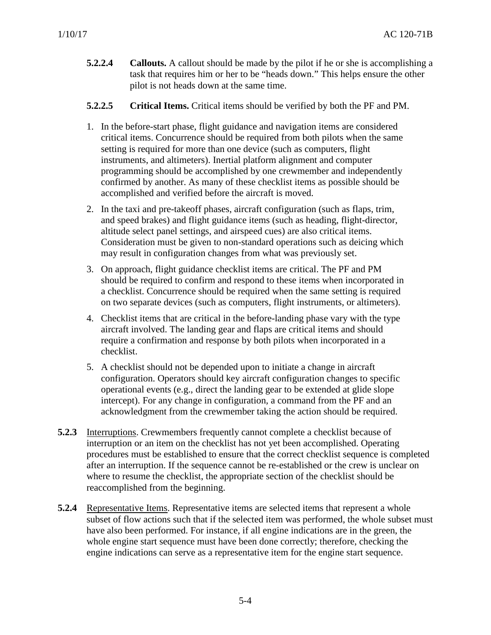- **5.2.2.4 Callouts.** A callout should be made by the pilot if he or she is accomplishing a task that requires him or her to be "heads down." This helps ensure the other pilot is not heads down at the same time.
- **5.2.2.5 Critical Items.** Critical items should be verified by both the PF and PM.
- 1. In the before-start phase, flight guidance and navigation items are considered critical items. Concurrence should be required from both pilots when the same setting is required for more than one device (such as computers, flight instruments, and altimeters). Inertial platform alignment and computer programming should be accomplished by one crewmember and independently confirmed by another. As many of these checklist items as possible should be accomplished and verified before the aircraft is moved.
- 2. In the taxi and pre-takeoff phases, aircraft configuration (such as flaps, trim, and speed brakes) and flight guidance items (such as heading, flight-director, altitude select panel settings, and airspeed cues) are also critical items. Consideration must be given to non-standard operations such as deicing which may result in configuration changes from what was previously set.
- 3. On approach, flight guidance checklist items are critical. The PF and PM should be required to confirm and respond to these items when incorporated in a checklist. Concurrence should be required when the same setting is required on two separate devices (such as computers, flight instruments, or altimeters).
- 4. Checklist items that are critical in the before-landing phase vary with the type aircraft involved. The landing gear and flaps are critical items and should require a confirmation and response by both pilots when incorporated in a checklist.
- 5. A checklist should not be depended upon to initiate a change in aircraft configuration. Operators should key aircraft configuration changes to specific operational events (e.g., direct the landing gear to be extended at glide slope intercept). For any change in configuration, a command from the PF and an acknowledgment from the crewmember taking the action should be required.
- **5.2.3** Interruptions. Crewmembers frequently cannot complete a checklist because of interruption or an item on the checklist has not yet been accomplished. Operating procedures must be established to ensure that the correct checklist sequence is completed after an interruption. If the sequence cannot be re-established or the crew is unclear on where to resume the checklist, the appropriate section of the checklist should be reaccomplished from the beginning.
- <span id="page-19-0"></span>**5.2.4** Representative Items. Representative items are selected items that represent a whole subset of flow actions such that if the selected item was performed, the whole subset must have also been performed. For instance, if all engine indications are in the green, the whole engine start sequence must have been done correctly; therefore, checking the engine indications can serve as a representative item for the engine start sequence.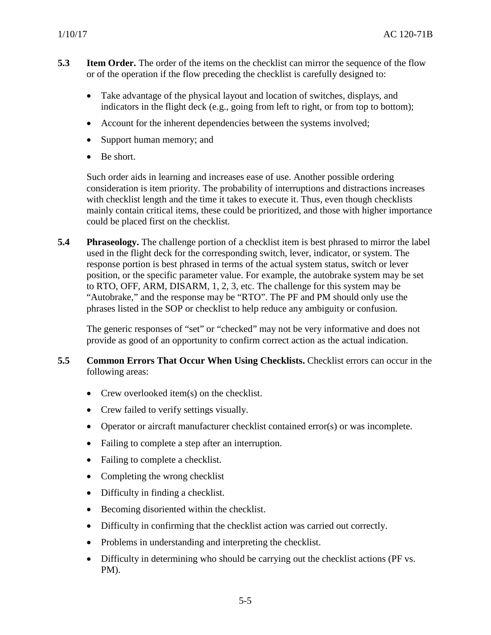- <span id="page-20-0"></span>**5.3 Item Order.** The order of the items on the checklist can mirror the sequence of the flow or of the operation if the flow preceding the checklist is carefully designed to:
	- Take advantage of the physical layout and location of switches, displays, and indicators in the flight deck (e.g., going from left to right, or from top to bottom);
	- Account for the inherent dependencies between the systems involved;
	- Support human memory; and
	- Be short.

Such order aids in learning and increases ease of use. Another possible ordering consideration is item priority. The probability of interruptions and distractions increases with checklist length and the time it takes to execute it. Thus, even though checklists mainly contain critical items, these could be prioritized, and those with higher importance could be placed first on the checklist.

<span id="page-20-1"></span>**5.4 Phraseology.** The challenge portion of a checklist item is best phrased to mirror the label used in the flight deck for the corresponding switch, lever, indicator, or system. The response portion is best phrased in terms of the actual system status, switch or lever position, or the specific parameter value. For example, the autobrake system may be set to RTO, OFF, ARM, DISARM, 1, 2, 3, etc. The challenge for this system may be "Autobrake," and the response may be "RTO". The PF and PM should only use the phrases listed in the SOP or checklist to help reduce any ambiguity or confusion.

The generic responses of "set" or "checked" may not be very informative and does not provide as good of an opportunity to confirm correct action as the actual indication.

#### <span id="page-20-2"></span>**5.5 Common Errors That Occur When Using Checklists.** Checklist errors can occur in the following areas:

- Crew overlooked item(s) on the checklist.
- Crew failed to verify settings visually.
- Operator or aircraft manufacturer checklist contained error(s) or was incomplete.
- Failing to complete a step after an interruption.
- Failing to complete a checklist.
- Completing the wrong checklist
- Difficulty in finding a checklist.
- Becoming disoriented within the checklist.
- Difficulty in confirming that the checklist action was carried out correctly.
- Problems in understanding and interpreting the checklist.
- Difficulty in determining who should be carrying out the checklist actions (PF vs. PM).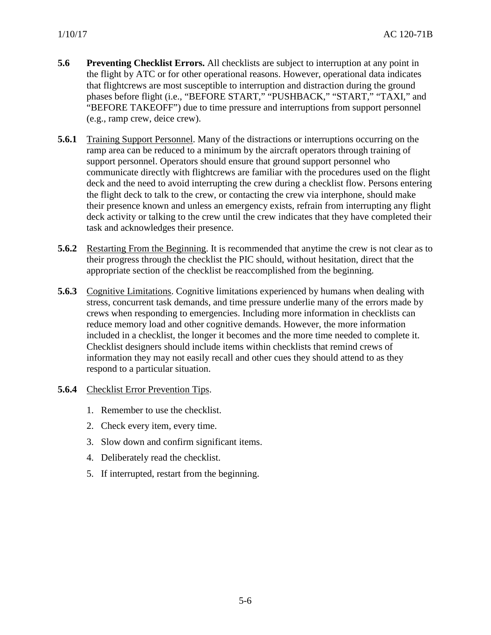- <span id="page-21-0"></span>**5.6 Preventing Checklist Errors.** All checklists are subject to interruption at any point in the flight by ATC or for other operational reasons. However, operational data indicates that flightcrews are most susceptible to interruption and distraction during the ground phases before flight (i.e., "BEFORE START," "PUSHBACK," "START," "TAXI," and "BEFORE TAKEOFF") due to time pressure and interruptions from support personnel (e.g., ramp crew, deice crew).
- <span id="page-21-1"></span>**5.6.1** Training Support Personnel. Many of the distractions or interruptions occurring on the ramp area can be reduced to a minimum by the aircraft operators through training of support personnel. Operators should ensure that ground support personnel who communicate directly with flightcrews are familiar with the procedures used on the flight deck and the need to avoid interrupting the crew during a checklist flow. Persons entering the flight deck to talk to the crew, or contacting the crew via interphone, should make their presence known and unless an emergency exists, refrain from interrupting any flight deck activity or talking to the crew until the crew indicates that they have completed their task and acknowledges their presence.
- <span id="page-21-2"></span>**5.6.2** Restarting From the Beginning. It is recommended that anytime the crew is not clear as to their progress through the checklist the PIC should, without hesitation, direct that the appropriate section of the checklist be reaccomplished from the beginning.
- <span id="page-21-3"></span>**5.6.3** Cognitive Limitations. Cognitive limitations experienced by humans when dealing with stress, concurrent task demands, and time pressure underlie many of the errors made by crews when responding to emergencies. Including more information in checklists can reduce memory load and other cognitive demands. However, the more information included in a checklist, the longer it becomes and the more time needed to complete it. Checklist designers should include items within checklists that remind crews of information they may not easily recall and other cues they should attend to as they respond to a particular situation.
- <span id="page-21-4"></span>**5.6.4** Checklist Error Prevention Tips.
	- 1. Remember to use the checklist.
	- 2. Check every item, every time.
	- 3. Slow down and confirm significant items.
	- 4. Deliberately read the checklist.
	- 5. If interrupted, restart from the beginning.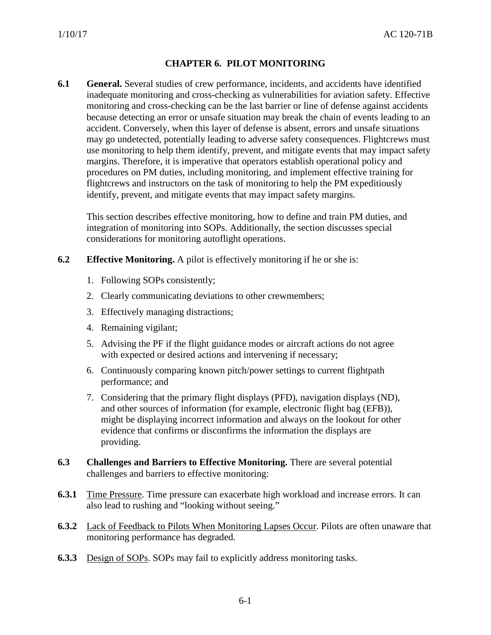# **CHAPTER 6. PILOT MONITORING**

<span id="page-22-1"></span><span id="page-22-0"></span>**6.1 General.** Several studies of crew performance, incidents, and accidents have identified inadequate monitoring and cross-checking as vulnerabilities for aviation safety. Effective monitoring and cross-checking can be the last barrier or line of defense against accidents because detecting an error or unsafe situation may break the chain of events leading to an accident. Conversely, when this layer of defense is absent, errors and unsafe situations may go undetected, potentially leading to adverse safety consequences. Flightcrews must use monitoring to help them identify, prevent, and mitigate events that may impact safety margins. Therefore, it is imperative that operators establish operational policy and procedures on PM duties, including monitoring, and implement effective training for flightcrews and instructors on the task of monitoring to help the PM expeditiously identify, prevent, and mitigate events that may impact safety margins.

This section describes effective monitoring, how to define and train PM duties, and integration of monitoring into SOPs. Additionally, the section discusses special considerations for monitoring autoflight operations.

- <span id="page-22-2"></span>**6.2 Effective Monitoring.** A pilot is effectively monitoring if he or she is:
	- 1. Following SOPs consistently;
	- 2. Clearly communicating deviations to other crewmembers;
	- 3. Effectively managing distractions;
	- 4. Remaining vigilant;
	- 5. Advising the PF if the flight guidance modes or aircraft actions do not agree with expected or desired actions and intervening if necessary;
	- 6. Continuously comparing known pitch/power settings to current flightpath performance; and
	- 7. Considering that the primary flight displays (PFD), navigation displays (ND), and other sources of information (for example, electronic flight bag (EFB)), might be displaying incorrect information and always on the lookout for other evidence that confirms or disconfirms the information the displays are providing.
- <span id="page-22-3"></span>**6.3 Challenges and Barriers to Effective Monitoring.** There are several potential challenges and barriers to effective monitoring:
- **6.3.1** Time Pressure. Time pressure can exacerbate high workload and increase errors. It can also lead to rushing and "looking without seeing."
- **6.3.2** Lack of Feedback to Pilots When Monitoring Lapses Occur. Pilots are often unaware that monitoring performance has degraded.
- **6.3.3** Design of SOPs. SOPs may fail to explicitly address monitoring tasks.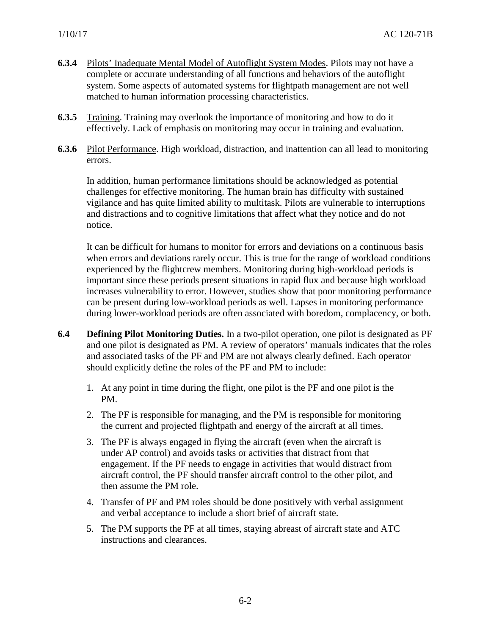- **6.3.4** Pilots' Inadequate Mental Model of Autoflight System Modes. Pilots may not have a complete or accurate understanding of all functions and behaviors of the autoflight system. Some aspects of automated systems for flightpath management are not well matched to human information processing characteristics.
- **6.3.5** Training. Training may overlook the importance of monitoring and how to do it effectively. Lack of emphasis on monitoring may occur in training and evaluation.
- **6.3.6** Pilot Performance. High workload, distraction, and inattention can all lead to monitoring errors.

In addition, human performance limitations should be acknowledged as potential challenges for effective monitoring. The human brain has difficulty with sustained vigilance and has quite limited ability to multitask. Pilots are vulnerable to interruptions and distractions and to cognitive limitations that affect what they notice and do not notice.

It can be difficult for humans to monitor for errors and deviations on a continuous basis when errors and deviations rarely occur. This is true for the range of workload conditions experienced by the flightcrew members. Monitoring during high-workload periods is important since these periods present situations in rapid flux and because high workload increases vulnerability to error. However, studies show that poor monitoring performance can be present during low-workload periods as well. Lapses in monitoring performance during lower-workload periods are often associated with boredom, complacency, or both.

- <span id="page-23-0"></span>**6.4 Defining Pilot Monitoring Duties.** In a two-pilot operation, one pilot is designated as PF and one pilot is designated as PM. A review of operators' manuals indicates that the roles and associated tasks of the PF and PM are not always clearly defined. Each operator should explicitly define the roles of the PF and PM to include:
	- 1. At any point in time during the flight, one pilot is the PF and one pilot is the PM.
	- 2. The PF is responsible for managing, and the PM is responsible for monitoring the current and projected flightpath and energy of the aircraft at all times.
	- 3. The PF is always engaged in flying the aircraft (even when the aircraft is under AP control) and avoids tasks or activities that distract from that engagement. If the PF needs to engage in activities that would distract from aircraft control, the PF should transfer aircraft control to the other pilot, and then assume the PM role.
	- 4. Transfer of PF and PM roles should be done positively with verbal assignment and verbal acceptance to include a short brief of aircraft state.
	- 5. The PM supports the PF at all times, staying abreast of aircraft state and ATC instructions and clearances.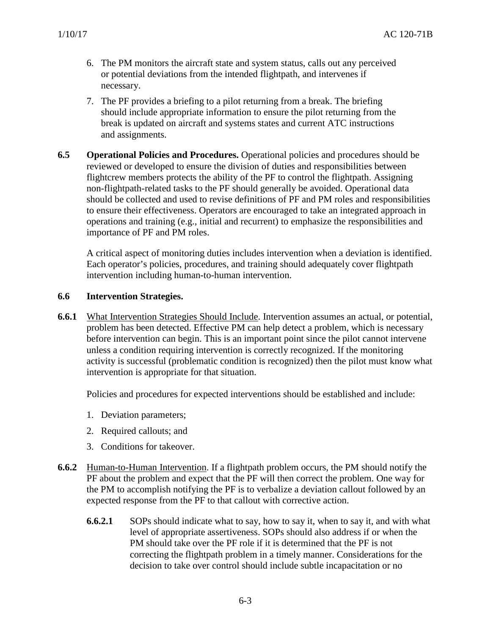- 6. The PM monitors the aircraft state and system status, calls out any perceived or potential deviations from the intended flightpath, and intervenes if necessary.
- 7. The PF provides a briefing to a pilot returning from a break. The briefing should include appropriate information to ensure the pilot returning from the break is updated on aircraft and systems states and current ATC instructions and assignments.
- **6.5 Operational Policies and Procedures.** Operational policies and procedures should be reviewed or developed to ensure the division of duties and responsibilities between flightcrew members protects the ability of the PF to control the flightpath. Assigning non-flightpath-related tasks to the PF should generally be avoided. Operational data should be collected and used to revise definitions of PF and PM roles and responsibilities to ensure their effectiveness. Operators are encouraged to take an integrated approach in operations and training (e.g., initial and recurrent) to emphasize the responsibilities and importance of PF and PM roles.

A critical aspect of monitoring duties includes intervention when a deviation is identified. Each operator's policies, procedures, and training should adequately cover flightpath intervention including human-to-human intervention.

#### **6.6 Intervention Strategies.**

**6.6.1** What Intervention Strategies Should Include. Intervention assumes an actual, or potential, problem has been detected. Effective PM can help detect a problem, which is necessary before intervention can begin. This is an important point since the pilot cannot intervene unless a condition requiring intervention is correctly recognized. If the monitoring activity is successful (problematic condition is recognized) then the pilot must know what intervention is appropriate for that situation.

Policies and procedures for expected interventions should be established and include:

- 1. Deviation parameters;
- 2. Required callouts; and
- 3. Conditions for takeover.
- <span id="page-24-0"></span>**6.6.2** Human-to-Human Intervention. If a flightpath problem occurs, the PM should notify the PF about the problem and expect that the PF will then correct the problem. One way for the PM to accomplish notifying the PF is to verbalize a deviation callout followed by an expected response from the PF to that callout with corrective action.
	- **6.6.2.1** SOPs should indicate what to say, how to say it, when to say it, and with what level of appropriate assertiveness. SOPs should also address if or when the PM should take over the PF role if it is determined that the PF is not correcting the flightpath problem in a timely manner. Considerations for the decision to take over control should include subtle incapacitation or no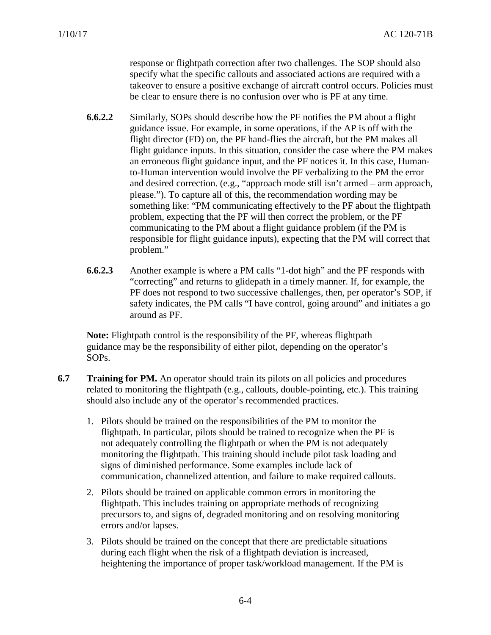response or flightpath correction after two challenges. The SOP should also specify what the specific callouts and associated actions are required with a takeover to ensure a positive exchange of aircraft control occurs. Policies must be clear to ensure there is no confusion over who is PF at any time.

- **6.6.2.2** Similarly, SOPs should describe how the PF notifies the PM about a flight guidance issue. For example, in some operations, if the AP is off with the flight director (FD) on, the PF hand-flies the aircraft, but the PM makes all flight guidance inputs. In this situation, consider the case where the PM makes an erroneous flight guidance input, and the PF notices it. In this case, Humanto-Human intervention would involve the PF verbalizing to the PM the error and desired correction. (e.g., "approach mode still isn't armed – arm approach, please."). To capture all of this, the recommendation wording may be something like: "PM communicating effectively to the PF about the flightpath problem, expecting that the PF will then correct the problem, or the PF communicating to the PM about a flight guidance problem (if the PM is responsible for flight guidance inputs), expecting that the PM will correct that problem."
- **6.6.2.3** Another example is where a PM calls "1-dot high" and the PF responds with "correcting" and returns to glidepath in a timely manner. If, for example, the PF does not respond to two successive challenges, then, per operator's SOP, if safety indicates, the PM calls "I have control, going around" and initiates a go around as PF.

**Note:** Flightpath control is the responsibility of the PF, whereas flightpath guidance may be the responsibility of either pilot, depending on the operator's SOPs.

- <span id="page-25-0"></span>**6.7 Training for PM.** An operator should train its pilots on all policies and procedures related to monitoring the flightpath (e.g., callouts, double-pointing, etc.). This training should also include any of the operator's recommended practices.
	- 1. Pilots should be trained on the responsibilities of the PM to monitor the flightpath. In particular, pilots should be trained to recognize when the PF is not adequately controlling the flightpath or when the PM is not adequately monitoring the flightpath. This training should include pilot task loading and signs of diminished performance. Some examples include lack of communication, channelized attention, and failure to make required callouts.
	- 2. Pilots should be trained on applicable common errors in monitoring the flightpath. This includes training on appropriate methods of recognizing precursors to, and signs of, degraded monitoring and on resolving monitoring errors and/or lapses.
	- 3. Pilots should be trained on the concept that there are predictable situations during each flight when the risk of a flightpath deviation is increased, heightening the importance of proper task/workload management. If the PM is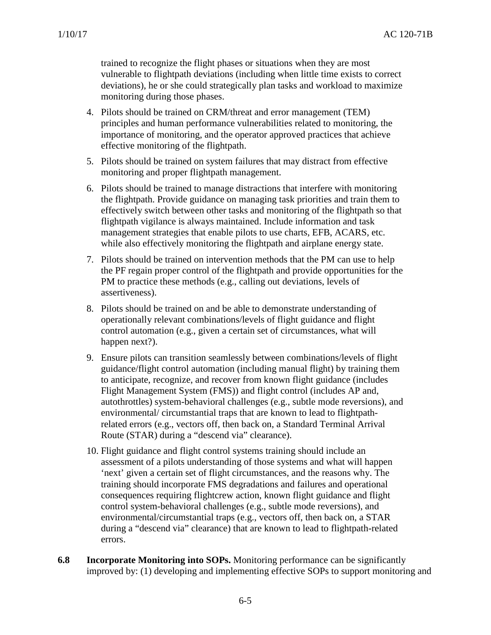trained to recognize the flight phases or situations when they are most vulnerable to flightpath deviations (including when little time exists to correct deviations), he or she could strategically plan tasks and workload to maximize monitoring during those phases.

- 4. Pilots should be trained on CRM/threat and error management (TEM) principles and human performance vulnerabilities related to monitoring, the importance of monitoring, and the operator approved practices that achieve effective monitoring of the flightpath.
- 5. Pilots should be trained on system failures that may distract from effective monitoring and proper flightpath management.
- 6. Pilots should be trained to manage distractions that interfere with monitoring the flightpath. Provide guidance on managing task priorities and train them to effectively switch between other tasks and monitoring of the flightpath so that flightpath vigilance is always maintained. Include information and task management strategies that enable pilots to use charts, EFB, ACARS, etc. while also effectively monitoring the flightpath and airplane energy state.
- 7. Pilots should be trained on intervention methods that the PM can use to help the PF regain proper control of the flightpath and provide opportunities for the PM to practice these methods (e.g., calling out deviations, levels of assertiveness).
- 8. Pilots should be trained on and be able to demonstrate understanding of operationally relevant combinations/levels of flight guidance and flight control automation (e.g., given a certain set of circumstances, what will happen next?).
- 9. Ensure pilots can transition seamlessly between combinations/levels of flight guidance/flight control automation (including manual flight) by training them to anticipate, recognize, and recover from known flight guidance (includes Flight Management System (FMS)) and flight control (includes AP and, autothrottles) system-behavioral challenges (e.g., subtle mode reversions), and environmental/ circumstantial traps that are known to lead to flightpathrelated errors (e.g., vectors off, then back on, a Standard Terminal Arrival Route (STAR) during a "descend via" clearance).
- 10. Flight guidance and flight control systems training should include an assessment of a pilots understanding of those systems and what will happen 'next' given a certain set of flight circumstances, and the reasons why. The training should incorporate FMS degradations and failures and operational consequences requiring flightcrew action, known flight guidance and flight control system-behavioral challenges (e.g., subtle mode reversions), and environmental/circumstantial traps (e.g., vectors off, then back on, a STAR during a "descend via" clearance) that are known to lead to flightpath-related errors.
- <span id="page-26-0"></span>**6.8 Incorporate Monitoring into SOPs.** Monitoring performance can be significantly improved by: (1) developing and implementing effective SOPs to support monitoring and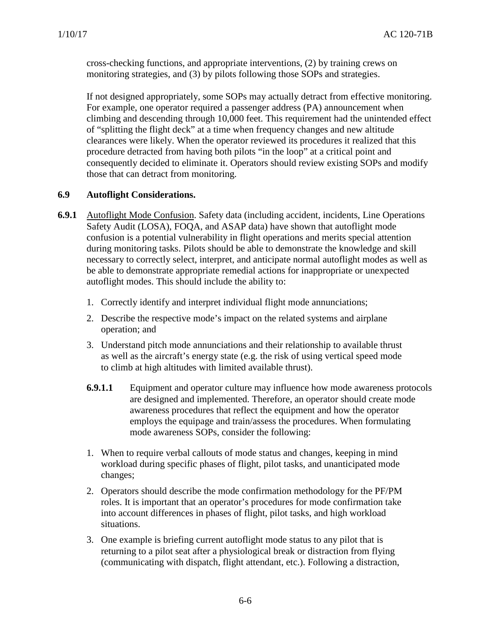cross-checking functions, and appropriate interventions, (2) by training crews on monitoring strategies, and (3) by pilots following those SOPs and strategies.

If not designed appropriately, some SOPs may actually detract from effective monitoring. For example, one operator required a passenger address (PA) announcement when climbing and descending through 10,000 feet. This requirement had the unintended effect of "splitting the flight deck" at a time when frequency changes and new altitude clearances were likely. When the operator reviewed its procedures it realized that this procedure detracted from having both pilots "in the loop" at a critical point and consequently decided to eliminate it. Operators should review existing SOPs and modify those that can detract from monitoring.

# <span id="page-27-0"></span>**6.9 Autoflight Considerations.**

- **6.9.1** Autoflight Mode Confusion. Safety data (including accident, incidents, Line Operations Safety Audit (LOSA), FOQA, and ASAP data) have shown that autoflight mode confusion is a potential vulnerability in flight operations and merits special attention during monitoring tasks. Pilots should be able to demonstrate the knowledge and skill necessary to correctly select, interpret, and anticipate normal autoflight modes as well as be able to demonstrate appropriate remedial actions for inappropriate or unexpected autoflight modes. This should include the ability to:
	- 1. Correctly identify and interpret individual flight mode annunciations;
	- 2. Describe the respective mode's impact on the related systems and airplane operation; and
	- 3. Understand pitch mode annunciations and their relationship to available thrust as well as the aircraft's energy state (e.g. the risk of using vertical speed mode to climb at high altitudes with limited available thrust).
	- **6.9.1.1** Equipment and operator culture may influence how mode awareness protocols are designed and implemented. Therefore, an operator should create mode awareness procedures that reflect the equipment and how the operator employs the equipage and train/assess the procedures. When formulating mode awareness SOPs, consider the following:
	- 1. When to require verbal callouts of mode status and changes, keeping in mind workload during specific phases of flight, pilot tasks, and unanticipated mode changes;
	- 2. Operators should describe the mode confirmation methodology for the PF/PM roles. It is important that an operator's procedures for mode confirmation take into account differences in phases of flight, pilot tasks, and high workload situations.
	- 3. One example is briefing current autoflight mode status to any pilot that is returning to a pilot seat after a physiological break or distraction from flying (communicating with dispatch, flight attendant, etc.). Following a distraction,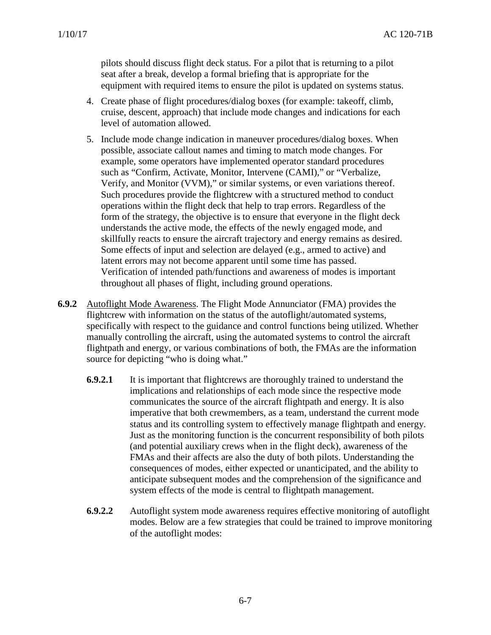pilots should discuss flight deck status. For a pilot that is returning to a pilot seat after a break, develop a formal briefing that is appropriate for the equipment with required items to ensure the pilot is updated on systems status.

- 4. Create phase of flight procedures/dialog boxes (for example: takeoff, climb, cruise, descent, approach) that include mode changes and indications for each level of automation allowed.
- 5. Include mode change indication in maneuver procedures/dialog boxes. When possible, associate callout names and timing to match mode changes. For example, some operators have implemented operator standard procedures such as "Confirm, Activate, Monitor, Intervene (CAMI)," or "Verbalize, Verify, and Monitor (VVM)," or similar systems, or even variations thereof. Such procedures provide the flightcrew with a structured method to conduct operations within the flight deck that help to trap errors. Regardless of the form of the strategy, the objective is to ensure that everyone in the flight deck understands the active mode, the effects of the newly engaged mode, and skillfully reacts to ensure the aircraft trajectory and energy remains as desired. Some effects of input and selection are delayed (e.g., armed to active) and latent errors may not become apparent until some time has passed. Verification of intended path/functions and awareness of modes is important throughout all phases of flight, including ground operations.
- <span id="page-28-0"></span>**6.9.2** Autoflight Mode Awareness. The Flight Mode Annunciator (FMA) provides the flightcrew with information on the status of the autoflight/automated systems, specifically with respect to the guidance and control functions being utilized. Whether manually controlling the aircraft, using the automated systems to control the aircraft flightpath and energy, or various combinations of both, the FMAs are the information source for depicting "who is doing what."
	- **6.9.2.1** It is important that flightcrews are thoroughly trained to understand the implications and relationships of each mode since the respective mode communicates the source of the aircraft flightpath and energy. It is also imperative that both crewmembers, as a team, understand the current mode status and its controlling system to effectively manage flightpath and energy. Just as the monitoring function is the concurrent responsibility of both pilots (and potential auxiliary crews when in the flight deck), awareness of the FMAs and their affects are also the duty of both pilots. Understanding the consequences of modes, either expected or unanticipated, and the ability to anticipate subsequent modes and the comprehension of the significance and system effects of the mode is central to flightpath management.
	- **6.9.2.2** Autoflight system mode awareness requires effective monitoring of autoflight modes. Below are a few strategies that could be trained to improve monitoring of the autoflight modes: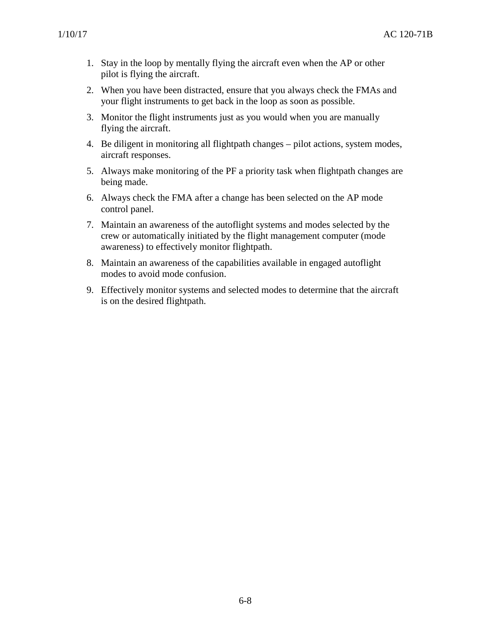- 1. Stay in the loop by mentally flying the aircraft even when the AP or other pilot is flying the aircraft.
- 2. When you have been distracted, ensure that you always check the FMAs and your flight instruments to get back in the loop as soon as possible.
- 3. Monitor the flight instruments just as you would when you are manually flying the aircraft.
- 4. Be diligent in monitoring all flightpath changes pilot actions, system modes, aircraft responses.
- 5. Always make monitoring of the PF a priority task when flightpath changes are being made.
- 6. Always check the FMA after a change has been selected on the AP mode control panel.
- 7. Maintain an awareness of the autoflight systems and modes selected by the crew or automatically initiated by the flight management computer (mode awareness) to effectively monitor flightpath.
- 8. Maintain an awareness of the capabilities available in engaged autoflight modes to avoid mode confusion.
- 9. Effectively monitor systems and selected modes to determine that the aircraft is on the desired flightpath.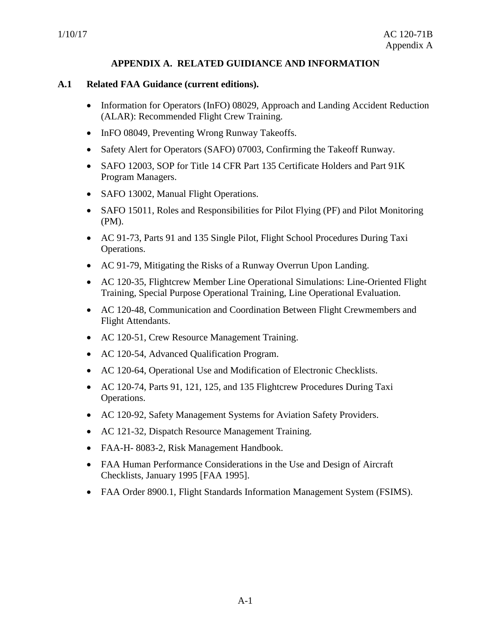# **APPENDIX A. RELATED GUIDIANCE AND INFORMATION**

#### **A.1 Related FAA Guidance (current editions).**

- Information for Operators (InFO) 08029, Approach and Landing Accident Reduction (ALAR): Recommended Flight Crew Training.
- InFO 08049, Preventing Wrong Runway Takeoffs.
- Safety Alert for Operators (SAFO) 07003, Confirming the Takeoff Runway.
- SAFO 12003, SOP for Title 14 CFR Part 135 Certificate Holders and Part 91K Program Managers.
- SAFO 13002, Manual Flight Operations.
- SAFO 15011, Roles and Responsibilities for Pilot Flying (PF) and Pilot Monitoring (PM).
- AC 91-73, Parts 91 and 135 Single Pilot, Flight School Procedures During Taxi Operations.
- AC 91-79, Mitigating the Risks of a Runway Overrun Upon Landing.
- AC 120-35, Flightcrew Member Line Operational Simulations: Line-Oriented Flight Training, Special Purpose Operational Training, Line Operational Evaluation.
- AC 120-48, Communication and Coordination Between Flight Crewmembers and Flight Attendants.
- AC 120-51, Crew Resource Management Training.
- AC 120-54, Advanced Qualification Program.
- AC 120-64, Operational Use and Modification of Electronic Checklists.
- AC 120-74, Parts 91, 121, 125, and 135 Flightcrew Procedures During Taxi Operations.
- AC 120-92, Safety Management Systems for Aviation Safety Providers.
- AC 121-32, Dispatch Resource Management Training.
- FAA-H- 8083-2, Risk Management Handbook.
- FAA Human Performance Considerations in the Use and Design of Aircraft Checklists, January 1995 [FAA 1995].
- FAA Order 8900.1, Flight Standards Information Management System (FSIMS).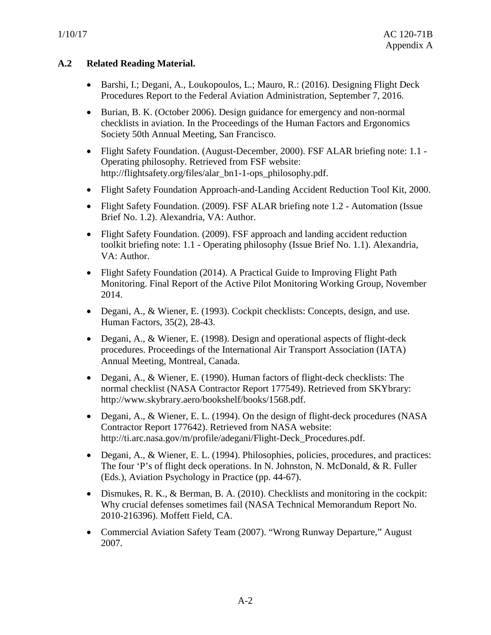# **A.2 Related Reading Material.**

- Barshi, I.; Degani, A., Loukopoulos, L.; Mauro, R.: (2016). Designing Flight Deck Procedures Report to the Federal Aviation Administration, September 7, 2016.
- Burian, B. K. (October 2006). Design guidance for emergency and non-normal checklists in aviation. In the Proceedings of the Human Factors and Ergonomics Society 50th Annual Meeting, San Francisco.
- Flight Safety Foundation. (August-December, 2000). FSF ALAR briefing note: 1.1 -Operating philosophy. Retrieved from FSF website: http://flightsafety.org/files/alar\_bn1-1-ops\_philosophy.pdf.
- Flight Safety Foundation Approach-and-Landing Accident Reduction Tool Kit, 2000.
- Flight Safety Foundation. (2009). FSF ALAR briefing note 1.2 Automation (Issue Brief No. 1.2). Alexandria, VA: Author.
- Flight Safety Foundation. (2009). FSF approach and landing accident reduction toolkit briefing note: 1.1 - Operating philosophy (Issue Brief No. 1.1). Alexandria, VA: Author.
- Flight Safety Foundation (2014). A Practical Guide to Improving Flight Path Monitoring. Final Report of the Active Pilot Monitoring Working Group, November 2014.
- Degani, A., & Wiener, E. (1993). Cockpit checklists: Concepts, design, and use. Human Factors, 35(2), 28-43.
- Degani, A., & Wiener, E. (1998). Design and operational aspects of flight-deck procedures. Proceedings of the International Air Transport Association (IATA) Annual Meeting, Montreal, Canada.
- Degani, A., & Wiener, E. (1990). Human factors of flight-deck checklists: The normal checklist (NASA Contractor Report 177549). Retrieved from SKYbrary: http://www.skybrary.aero/bookshelf/books/1568.pdf.
- Degani, A., & Wiener, E. L. (1994). On the design of flight-deck procedures (NASA Contractor Report 177642). Retrieved from NASA website: http://ti.arc.nasa.gov/m/profile/adegani/Flight-Deck\_Procedures.pdf.
- Degani, A., & Wiener, E. L. (1994). Philosophies, policies, procedures, and practices: The four 'P's of flight deck operations. In N. Johnston, N. McDonald, & R. Fuller (Eds.), Aviation Psychology in Practice (pp. 44-67).
- Dismukes, R. K., & Berman, B. A. (2010). Checklists and monitoring in the cockpit: Why crucial defenses sometimes fail (NASA Technical Memorandum Report No. 2010-216396). Moffett Field, CA.
- Commercial Aviation Safety Team (2007). "Wrong Runway Departure," August 2007.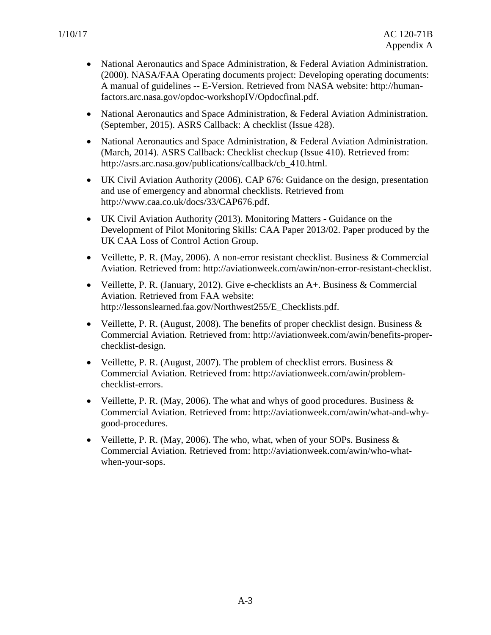- National Aeronautics and Space Administration, & Federal Aviation Administration. (2000). NASA/FAA Operating documents project: Developing operating documents: A manual of guidelines -- E-Version. Retrieved from NASA website: http://humanfactors.arc.nasa.gov/opdoc-workshopIV/Opdocfinal.pdf.
- National Aeronautics and Space Administration, & Federal Aviation Administration. (September, 2015). ASRS Callback: A checklist (Issue 428).
- National Aeronautics and Space Administration, & Federal Aviation Administration. (March, 2014). ASRS Callback: Checklist checkup (Issue 410). Retrieved from: http://asrs.arc.nasa.gov/publications/callback/cb\_410.html.
- UK Civil Aviation Authority (2006). CAP 676: Guidance on the design, presentation and use of emergency and abnormal checklists. Retrieved from http://www.caa.co.uk/docs/33/CAP676.pdf.
- UK Civil Aviation Authority (2013). Monitoring Matters Guidance on the Development of Pilot Monitoring Skills: CAA Paper 2013/02. Paper produced by the UK CAA Loss of Control Action Group.
- Veillette, P. R. (May, 2006). A non-error resistant checklist. Business & Commercial Aviation. Retrieved from: http://aviationweek.com/awin/non-error-resistant-checklist.
- Veillette, P. R. (January, 2012). Give e-checklists an A+. Business & Commercial Aviation. Retrieved from FAA website: http://lessonslearned.faa.gov/Northwest255/E\_Checklists.pdf.
- Veillette, P. R. (August, 2008). The benefits of proper checklist design. Business  $\&$ Commercial Aviation. Retrieved from: http://aviationweek.com/awin/benefits-properchecklist-design.
- Veillette, P. R. (August, 2007). The problem of checklist errors. Business  $\&$ Commercial Aviation. Retrieved from: http://aviationweek.com/awin/problemchecklist-errors.
- Veillette, P. R. (May, 2006). The what and whys of good procedures. Business  $\&$ Commercial Aviation. Retrieved from: http://aviationweek.com/awin/what-and-whygood-procedures.
- Veillette, P. R. (May, 2006). The who, what, when of your SOPs. Business  $\&$ Commercial Aviation. Retrieved from: http://aviationweek.com/awin/who-whatwhen-your-sops.